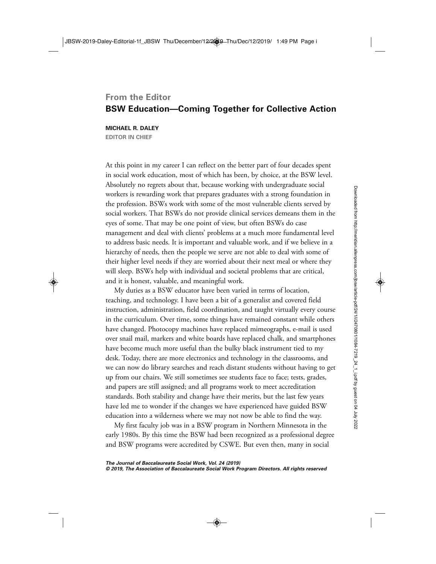## **From the Editor BSW Education— Coming Together for Collective Action**

**MICHAEL R. DALEY EDITOR IN CHIEF**

At this point in my career I can reflect on the better part of four decades spent in social work education, most of which has been, by choice, at the BSW level. Absolutely no regrets about that, because working with undergraduate social workers is rewarding work that prepares graduates with a strong foundation in the profession. BSWs work with some of the most vulnerable clients served by social workers. That BSWs do not provide clinical services demeans them in the eyes of some. That may be one point of view, but often BSWs do case management and deal with clients' problems at a much more fundamental level to address basic needs. It is important and valuable work, and if we believe in a hierarchy of needs, then the people we serve are not able to deal with some of their higher level needs if they are worried about their next meal or where they will sleep. BSWs help with individual and societal problems that are critical, and it is honest, valuable, and meaningful work.

My duties as a BSW educator have been varied in terms of location, teaching, and technology. I have been a bit of a generalist and covered field instruction, administration, field coordination, and taught virtually every course in the curriculum. Over time, some things have remained constant while others have changed. Photocopy machines have replaced mimeographs, e- mail is used over snail mail, markers and white boards have replaced chalk, and smartphones have become much more useful than the bulky black instrument tied to my desk. Today, there are more electronics and technology in the classrooms, and we can now do library searches and reach distant students without having to get up from our chairs. We still sometimes see students face to face; tests, grades, and papers are still assigned; and all programs work to meet accreditation standards. Both stability and change have their merits, but the last few years have led me to wonder if the changes we have experienced have guided BSW education into a wilderness where we may not now be able to find the way.

My first faculty job was in a BSW program in Northern Minnesota in the early 1980s. By this time the BSW had been recognized as a professional degree and BSW programs were accredited by CSWE. But even then, many in social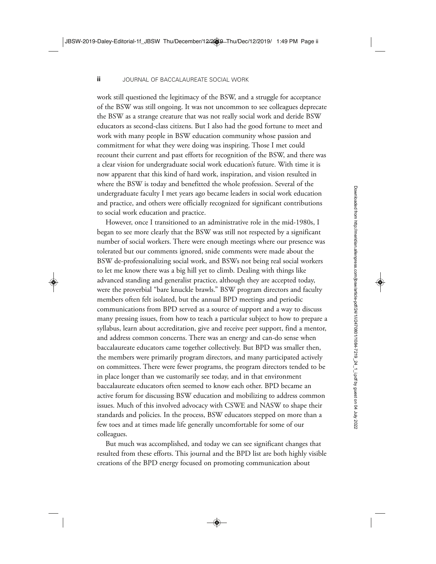work still questioned the legitimacy of the BSW, and a struggle for acceptance of the BSW was still ongoing. It was not uncommon to see colleagues deprecate the BSW as a strange creature that was not really social work and deride BSW educators as second- class citizens. But I also had the good fortune to meet and work with many people in BSW education community whose passion and commitment for what they were doing was inspiring. Those I met could recount their current and past efforts for recognition of the BSW, and there was a clear vision for undergraduate social work education's future. With time it is now apparent that this kind of hard work, inspiration, and vision resulted in where the BSW is today and benefitted the whole profession. Several of the undergraduate faculty I met years ago became leaders in social work education and practice, and others were officially recognized for significant contributions to social work education and practice.

However, once I transitioned to an administrative role in the mid-1980s, I began to see more clearly that the BSW was still not respected by a significant number of social workers. There were enough meetings where our presence was tolerated but our comments ignored, snide comments were made about the BSW de- professionalizing social work, and BSWs not being real social workers to let me know there was a big hill yet to climb. Dealing with things like advanced standing and generalist practice, although they are accepted today, were the proverbial "bare knuckle brawls." BSW program directors and faculty members often felt isolated, but the annual BPD meetings and periodic communications from BPD served as a source of support and a way to discuss many pressing issues, from how to teach a particular subject to how to prepare a syllabus, learn about accreditation, give and receive peer support, find a mentor, and address common concerns. There was an energy and can- do sense when baccalaureate educators came together collectively. But BPD was smaller then, the members were primarily program directors, and many participated actively on committees. There were fewer programs, the program directors tended to be in place longer than we customarily see today, and in that environment baccalaureate educators often seemed to know each other. BPD became an active forum for discussing BSW education and mobilizing to address common issues. Much of this involved advocacy with CSWE and NASW to shape their standards and policies. In the process, BSW educators stepped on more than a few toes and at times made life generally uncomfortable for some of our colleagues.

But much was accomplished, and today we can see significant changes that resulted from these efforts. This journal and the BPD list are both highly visible creations of the BPD energy focused on promoting communication about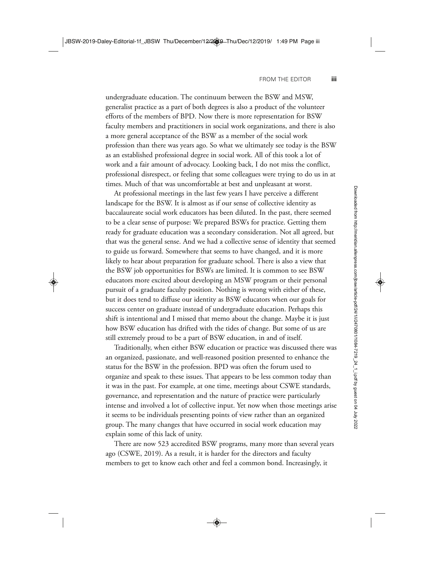undergraduate education. The continuum between the BSW and MSW, generalist practice as a part of both degrees is also a product of the volunteer efforts of the members of BPD. Now there is more representation for BSW faculty members and practitioners in social work organizations, and there is also a more general acceptance of the BSW as a member of the social work profession than there was years ago. So what we ultimately see today is the BSW as an established professional degree in social work. All of this took a lot of work and a fair amount of advocacy. Looking back, I do not miss the conflict, professional disrespect, or feeling that some colleagues were trying to do us in at times. Much of that was uncomfortable at best and unpleasant at worst.

At professional meetings in the last few years I have perceive a different landscape for the BSW. It is almost as if our sense of collective identity as baccalaureate social work educators has been diluted. In the past, there seemed to be a clear sense of purpose: We prepared BSWs for practice. Getting them ready for graduate education was a secondary consideration. Not all agreed, but that was the general sense. And we had a collective sense of identity that seemed to guide us forward. Somewhere that seems to have changed, and it is more likely to hear about preparation for graduate school. There is also a view that the BSW job opportunities for BSWs are limited. It is common to see BSW educators more excited about developing an MSW program or their personal pursuit of a graduate faculty position. Nothing is wrong with either of these, but it does tend to diffuse our identity as BSW educators when our goals for success center on graduate instead of undergraduate education. Perhaps this shift is intentional and I missed that memo about the change. Maybe it is just how BSW education has drifted with the tides of change. But some of us are still extremely proud to be a part of BSW education, in and of itself.

Traditionally, when either BSW education or practice was discussed there was an organized, passionate, and well- reasoned position presented to enhance the status for the BSW in the profession. BPD was often the forum used to organize and speak to these issues. That appears to be less common today than it was in the past. For example, at one time, meetings about CSWE standards, governance, and representation and the nature of practice were particularly intense and involved a lot of collective input. Yet now when those meetings arise it seems to be individuals presenting points of view rather than an organized group. The many changes that have occurred in social work education may explain some of this lack of unity.

There are now 523 accredited BSW programs, many more than several years ago (CSWE, 2019). As a result, it is harder for the directors and faculty members to get to know each other and feel a common bond. Increasingly, it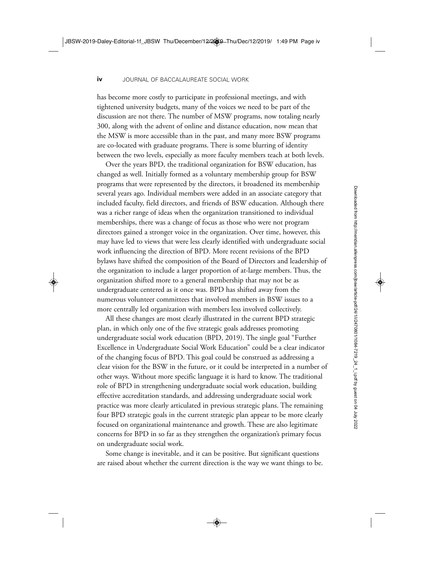has become more costly to participate in professional meetings, and with tightened university budgets, many of the voices we need to be part of the discussion are not there. The number of MSW programs, now totaling nearly 300, along with the advent of online and distance education, now mean that the MSW is more accessible than in the past, and many more BSW programs are co- located with graduate programs. There is some blurring of identity between the two levels, especially as more faculty members teach at both levels.

Over the years BPD, the traditional organization for BSW education, has changed as well. Initially formed as a voluntary membership group for BSW programs that were represented by the directors, it broadened its membership several years ago. Individual members were added in an associate category that included faculty, field directors, and friends of BSW education. Although there was a richer range of ideas when the organization transitioned to individual memberships, there was a change of focus as those who were not program directors gained a stronger voice in the organization. Over time, however, this may have led to views that were less clearly identified with undergraduate social work influencing the direction of BPD. More recent revisions of the BPD bylaws have shifted the composition of the Board of Directors and leadership of the organization to include a larger proportion of at- large members. Thus, the organization shifted more to a general membership that may not be as undergraduate centered as it once was. BPD has shifted away from the numerous volunteer committees that involved members in BSW issues to a more centrally led organization with members less involved collectively.

All these changes are most clearly illustrated in the current BPD strategic plan, in which only one of the five strategic goals addresses promoting undergraduate social work education (BPD, 2019). The single goal "Further Excellence in Undergraduate Social Work Education" could be a clear indicator of the changing focus of BPD. This goal could be construed as addressing a clear vision for the BSW in the future, or it could be interpreted in a number of other ways. Without more specific language it is hard to know. The traditional role of BPD in strengthening undergraduate social work education, building effective accreditation standards, and addressing undergraduate social work practice was more clearly articulated in previous strategic plans. The remaining four BPD strategic goals in the current strategic plan appear to be more clearly focused on organizational maintenance and growth. These are also legitimate concerns for BPD in so far as they strengthen the organization's primary focus on undergraduate social work.

Some change is inevitable, and it can be positive. But significant questions are raised about whether the current direction is the way we want things to be.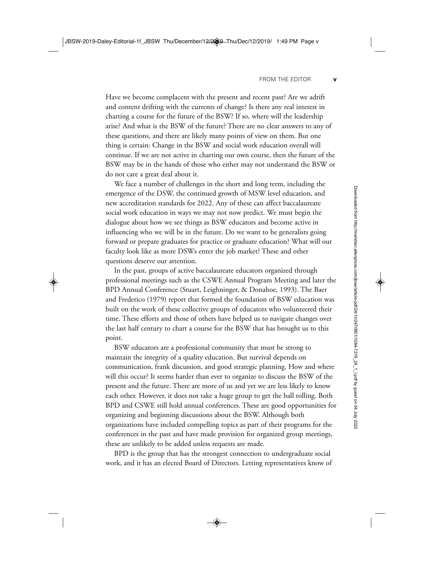Have we become complacent with the present and recent past? Are we adrift and content drifting with the currents of change? Is there any real interest in charting a course for the future of the BSW? If so, where will the leadership arise? And what is the BSW of the future? There are no clear answers to any of these questions, and there are likely many points of view on them. But one thing is certain: Change in the BSW and social work education overall will continue. If we are not active in charting our own course, then the future of the BSW may be in the hands of those who either may not understand the BSW or do not care a great deal about it.

We face a number of challenges in the short and long term, including the emergence of the DSW, the continued growth of MSW level education, and new accreditation standards for 2022. Any of these can affect baccalaureate social work education in ways we may not now predict. We must begin the dialogue about how we see things as BSW educators and become active in influencing who we will be in the future. Do we want to be generalists going forward or prepare graduates for practice or graduate education? What will our faculty look like as more DSWs enter the job market? These and other questions deserve our attention.

In the past, groups of active baccalaureate educators organized through professional meetings such as the CSWE Annual Program Meeting and later the BPD Annual Conference (Stuart, Leighninger, & Donahoe, 1993). The Baer and Frederico (1979) report that formed the foundation of BSW education was built on the work of these collective groups of educators who volunteered their time. These efforts and those of others have helped us to navigate changes over the last half century to chart a course for the BSW that has brought us to this point.

BSW educators are a professional community that must be strong to maintain the integrity of a quality education. But survival depends on communication, frank discussion, and good strategic planning. How and where will this occur? It seems harder than ever to organize to discuss the BSW of the present and the future. There are more of us and yet we are less likely to know each other. However, it does not take a huge group to get the ball rolling. Both BPD and CSWE still hold annual conferences. These are good opportunities for organizing and beginning discussions about the BSW. Although both organizations have included compelling topics as part of their programs for the conferences in the past and have made provision for organized group meetings, these are unlikely to be added unless requests are made.

BPD is the group that has the strongest connection to undergraduate social work, and it has an elected Board of Directors. Letting representatives know of